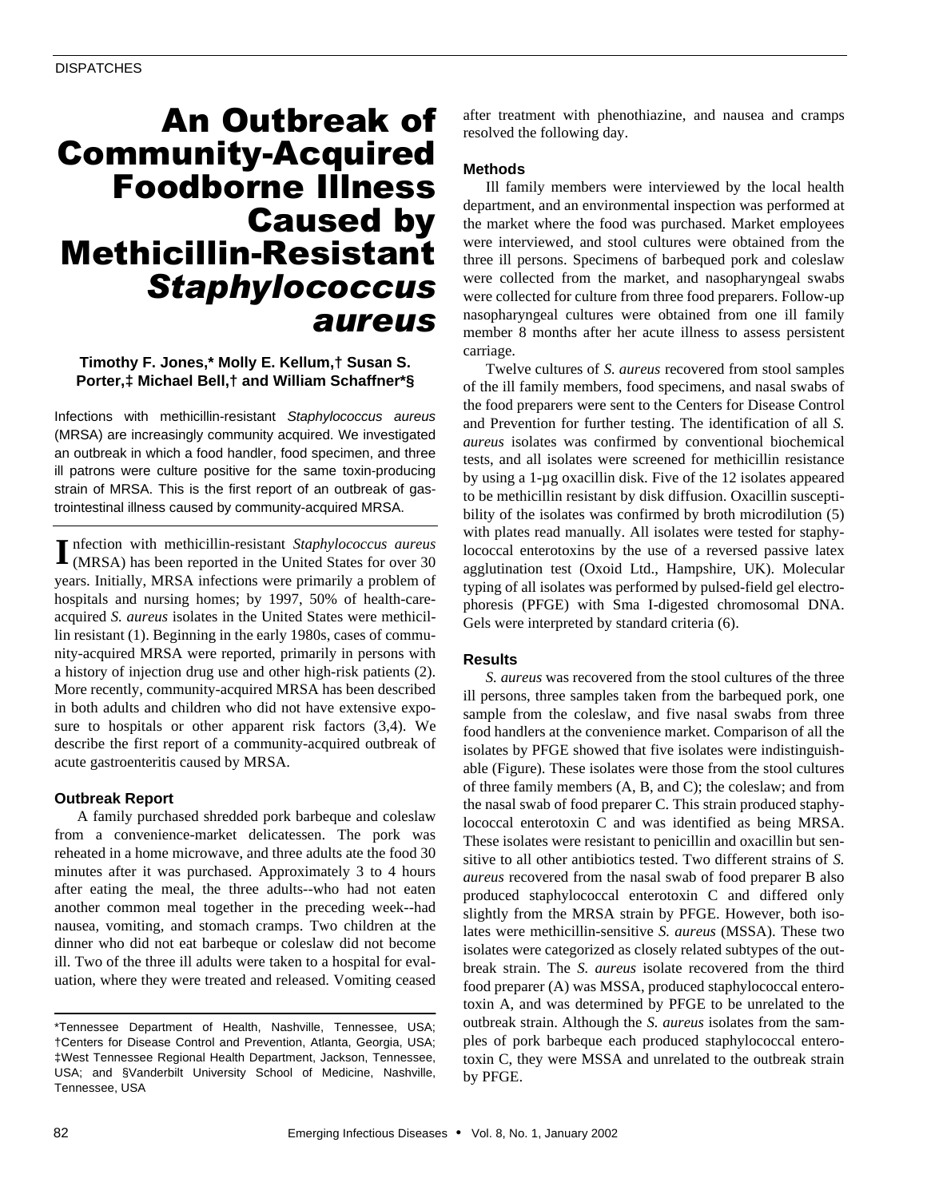# An Outbreak of Community-Acquired Foodborne Illness Caused by Methicillin-Resistant *Staphylococcus aureus*

# **Timothy F. Jones,\* Molly E. Kellum,† Susan S. Porter,‡ Michael Bell,† and William Schaffner\*§**

Infections with methicillin-resistant *Staphylococcus aureus* (MRSA) are increasingly community acquired. We investigated an outbreak in which a food handler, food specimen, and three ill patrons were culture positive for the same toxin-producing strain of MRSA. This is the first report of an outbreak of gastrointestinal illness caused by community-acquired MRSA.

Infection with methicillin-resistant *Staphylococcus aureus* (MRSA) has been reported in the United States for over 30 (MRSA) has been reported in the United States for over 30 years. Initially, MRSA infections were primarily a problem of hospitals and nursing homes; by 1997, 50% of health-careacquired *S. aureus* isolates in the United States were methicillin resistant (1). Beginning in the early 1980s, cases of community-acquired MRSA were reported, primarily in persons with a history of injection drug use and other high-risk patients (2). More recently, community-acquired MRSA has been described in both adults and children who did not have extensive exposure to hospitals or other apparent risk factors (3,4). We describe the first report of a community-acquired outbreak of acute gastroenteritis caused by MRSA.

## **Outbreak Report**

A family purchased shredded pork barbeque and coleslaw from a convenience-market delicatessen. The pork was reheated in a home microwave, and three adults ate the food 30 minutes after it was purchased. Approximately 3 to 4 hours after eating the meal, the three adults--who had not eaten another common meal together in the preceding week--had nausea, vomiting, and stomach cramps. Two children at the dinner who did not eat barbeque or coleslaw did not become ill. Two of the three ill adults were taken to a hospital for evaluation, where they were treated and released. Vomiting ceased

after treatment with phenothiazine, and nausea and cramps resolved the following day.

### **Methods**

Ill family members were interviewed by the local health department, and an environmental inspection was performed at the market where the food was purchased. Market employees were interviewed, and stool cultures were obtained from the three ill persons. Specimens of barbequed pork and coleslaw were collected from the market, and nasopharyngeal swabs were collected for culture from three food preparers. Follow-up nasopharyngeal cultures were obtained from one ill family member 8 months after her acute illness to assess persistent carriage.

Twelve cultures of *S. aureus* recovered from stool samples of the ill family members, food specimens, and nasal swabs of the food preparers were sent to the Centers for Disease Control and Prevention for further testing. The identification of all *S. aureus* isolates was confirmed by conventional biochemical tests, and all isolates were screened for methicillin resistance by using a 1-µg oxacillin disk. Five of the 12 isolates appeared to be methicillin resistant by disk diffusion. Oxacillin susceptibility of the isolates was confirmed by broth microdilution (5) with plates read manually. All isolates were tested for staphylococcal enterotoxins by the use of a reversed passive latex agglutination test (Oxoid Ltd., Hampshire, UK). Molecular typing of all isolates was performed by pulsed-field gel electrophoresis (PFGE) with Sma I-digested chromosomal DNA. Gels were interpreted by standard criteria (6).

## **Results**

*S. aureus* was recovered from the stool cultures of the three ill persons, three samples taken from the barbequed pork, one sample from the coleslaw, and five nasal swabs from three food handlers at the convenience market. Comparison of all the isolates by PFGE showed that five isolates were indistinguishable (Figure). These isolates were those from the stool cultures of three family members (A, B, and C); the coleslaw; and from the nasal swab of food preparer C. This strain produced staphylococcal enterotoxin C and was identified as being MRSA. These isolates were resistant to penicillin and oxacillin but sensitive to all other antibiotics tested. Two different strains of *S. aureus* recovered from the nasal swab of food preparer B also produced staphylococcal enterotoxin C and differed only slightly from the MRSA strain by PFGE. However, both isolates were methicillin-sensitive *S. aureus* (MSSA). These two isolates were categorized as closely related subtypes of the outbreak strain. The *S. aureus* isolate recovered from the third food preparer (A) was MSSA, produced staphylococcal enterotoxin A, and was determined by PFGE to be unrelated to the outbreak strain. Although the *S. aureus* isolates from the samples of pork barbeque each produced staphylococcal enterotoxin C, they were MSSA and unrelated to the outbreak strain by PFGE.

<sup>\*</sup>Tennessee Department of Health, Nashville, Tennessee, USA; †Centers for Disease Control and Prevention, Atlanta, Georgia, USA; ‡West Tennessee Regional Health Department, Jackson, Tennessee, USA; and §Vanderbilt University School of Medicine, Nashville, Tennessee, USA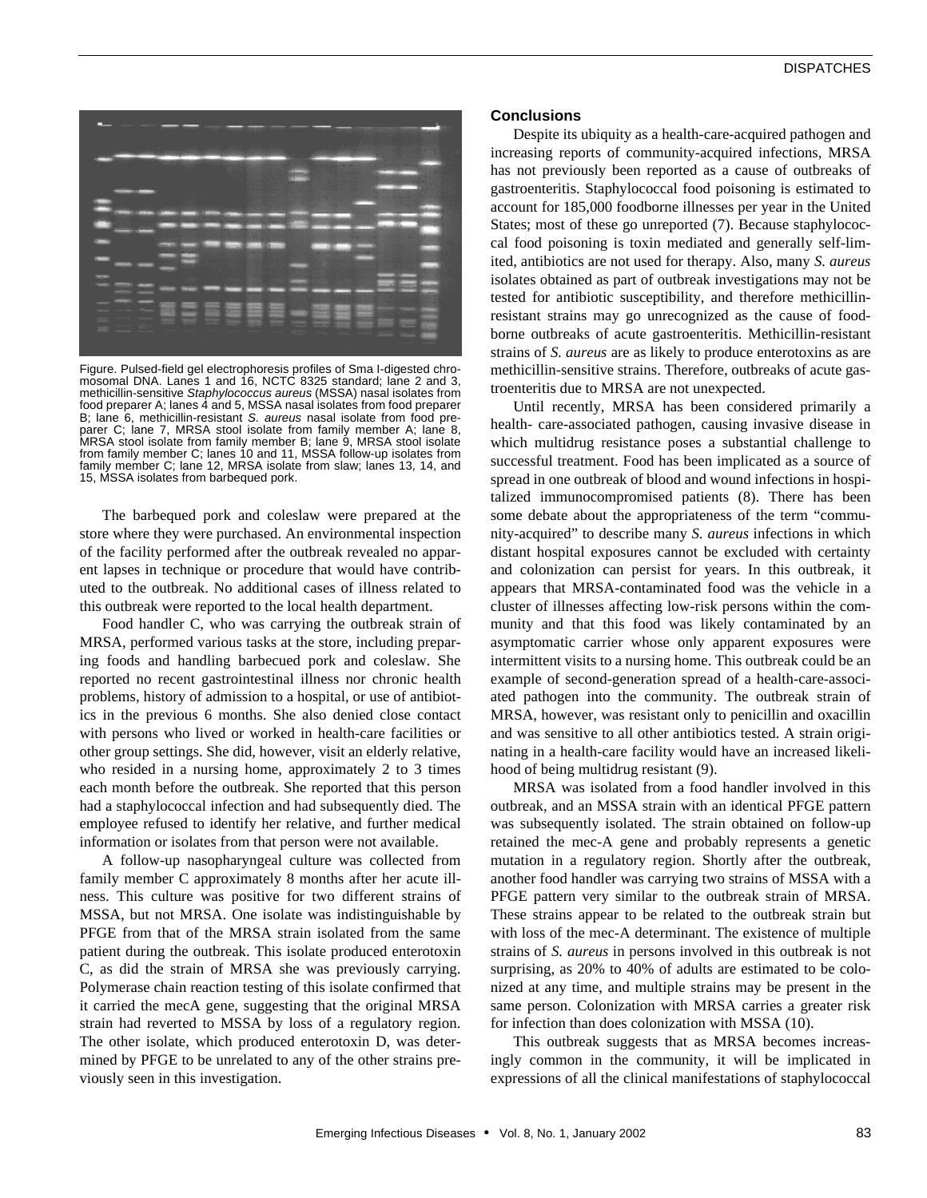

Figure. Pulsed-field gel electrophoresis profiles of Sma I-digested chromosomal DNA. Lanes 1 and 16, NCTC 8325 standard; lane 2 and 3, methicillin-sensitive *Staphylococcus aureus* (MSSA) nasal isolates from food preparer A; lanes 4 and 5, MSSA nasal isolates from food preparer B; lane 6, methicillin-resistant *S. aureus* nasal isolate from food preparer C; lane 7, MRSA stool isolate from family member A; lane 8, MRSA stool isolate from family member B; lane 9, MRSA stool isolate from family member C; lanes 10 and 11, MSSA follow-up isolates from family member C; lane 12, MRSA isolate from slaw; lanes 13, 14, and 15, MSSA isolates from barbequed pork.

The barbequed pork and coleslaw were prepared at the store where they were purchased. An environmental inspection of the facility performed after the outbreak revealed no apparent lapses in technique or procedure that would have contributed to the outbreak. No additional cases of illness related to this outbreak were reported to the local health department.

Food handler C, who was carrying the outbreak strain of MRSA, performed various tasks at the store, including preparing foods and handling barbecued pork and coleslaw. She reported no recent gastrointestinal illness nor chronic health problems, history of admission to a hospital, or use of antibiotics in the previous 6 months. She also denied close contact with persons who lived or worked in health-care facilities or other group settings. She did, however, visit an elderly relative, who resided in a nursing home, approximately 2 to 3 times each month before the outbreak. She reported that this person had a staphylococcal infection and had subsequently died. The employee refused to identify her relative, and further medical information or isolates from that person were not available.

A follow-up nasopharyngeal culture was collected from family member C approximately 8 months after her acute illness. This culture was positive for two different strains of MSSA, but not MRSA. One isolate was indistinguishable by PFGE from that of the MRSA strain isolated from the same patient during the outbreak. This isolate produced enterotoxin C, as did the strain of MRSA she was previously carrying. Polymerase chain reaction testing of this isolate confirmed that it carried the mecA gene, suggesting that the original MRSA strain had reverted to MSSA by loss of a regulatory region. The other isolate, which produced enterotoxin D, was determined by PFGE to be unrelated to any of the other strains previously seen in this investigation.

#### **Conclusions**

Despite its ubiquity as a health-care-acquired pathogen and increasing reports of community-acquired infections, MRSA has not previously been reported as a cause of outbreaks of gastroenteritis. Staphylococcal food poisoning is estimated to account for 185,000 foodborne illnesses per year in the United States; most of these go unreported (7). Because staphylococcal food poisoning is toxin mediated and generally self-limited, antibiotics are not used for therapy. Also, many *S. aureus* isolates obtained as part of outbreak investigations may not be tested for antibiotic susceptibility, and therefore methicillinresistant strains may go unrecognized as the cause of foodborne outbreaks of acute gastroenteritis. Methicillin-resistant strains of *S. aureus* are as likely to produce enterotoxins as are methicillin-sensitive strains. Therefore, outbreaks of acute gastroenteritis due to MRSA are not unexpected.

Until recently, MRSA has been considered primarily a health- care-associated pathogen, causing invasive disease in which multidrug resistance poses a substantial challenge to successful treatment. Food has been implicated as a source of spread in one outbreak of blood and wound infections in hospitalized immunocompromised patients (8). There has been some debate about the appropriateness of the term "community-acquired" to describe many *S. aureus* infections in which distant hospital exposures cannot be excluded with certainty and colonization can persist for years. In this outbreak, it appears that MRSA-contaminated food was the vehicle in a cluster of illnesses affecting low-risk persons within the community and that this food was likely contaminated by an asymptomatic carrier whose only apparent exposures were intermittent visits to a nursing home. This outbreak could be an example of second-generation spread of a health-care-associated pathogen into the community. The outbreak strain of MRSA, however, was resistant only to penicillin and oxacillin and was sensitive to all other antibiotics tested. A strain originating in a health-care facility would have an increased likelihood of being multidrug resistant (9).

MRSA was isolated from a food handler involved in this outbreak, and an MSSA strain with an identical PFGE pattern was subsequently isolated. The strain obtained on follow-up retained the mec-A gene and probably represents a genetic mutation in a regulatory region. Shortly after the outbreak, another food handler was carrying two strains of MSSA with a PFGE pattern very similar to the outbreak strain of MRSA. These strains appear to be related to the outbreak strain but with loss of the mec-A determinant. The existence of multiple strains of *S. aureus* in persons involved in this outbreak is not surprising, as 20% to 40% of adults are estimated to be colonized at any time, and multiple strains may be present in the same person. Colonization with MRSA carries a greater risk for infection than does colonization with MSSA (10).

This outbreak suggests that as MRSA becomes increasingly common in the community, it will be implicated in expressions of all the clinical manifestations of staphylococcal